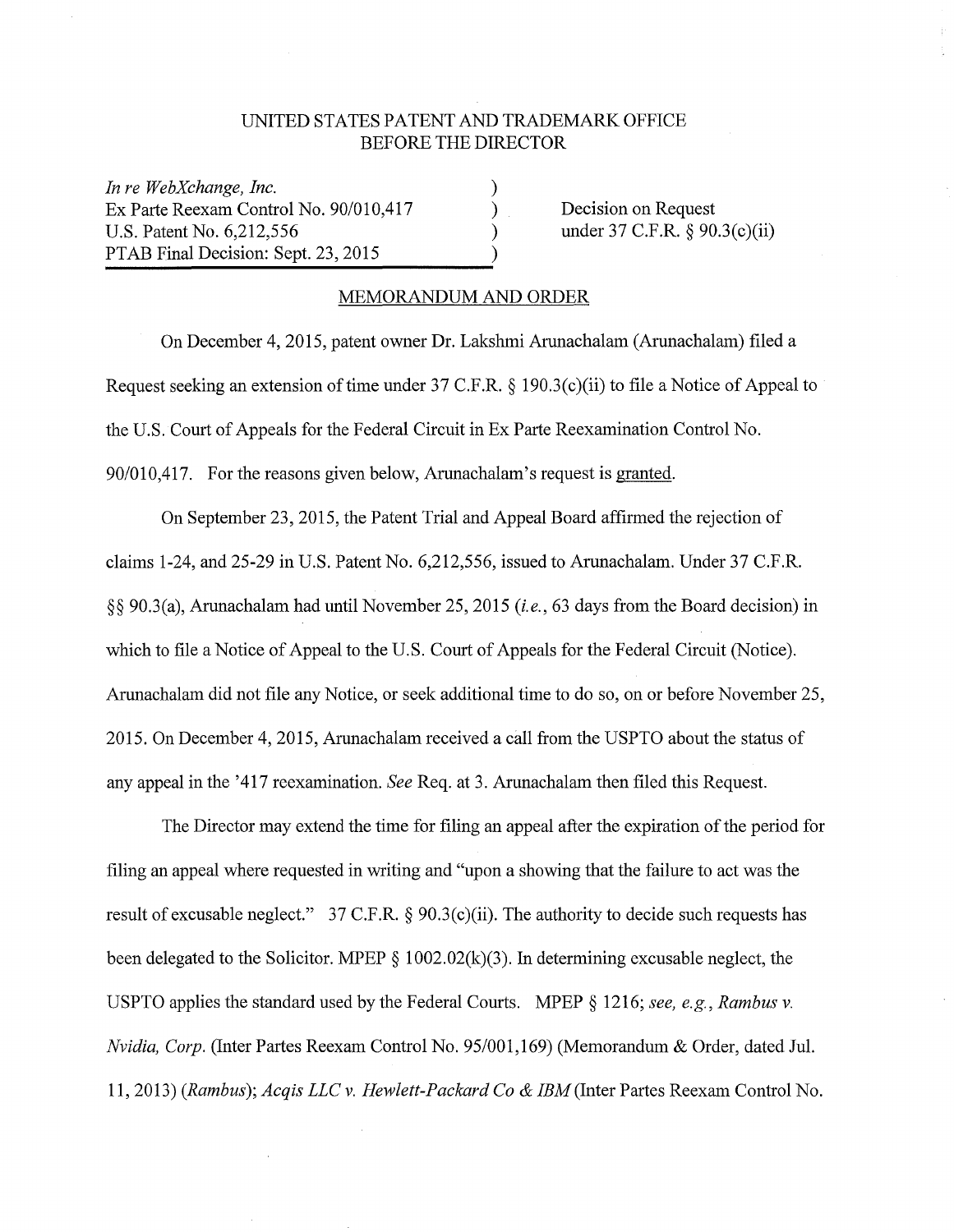## UNITED STATES PATENT AND TRADEMARK OFFICE BEFORE THE DIRECTOR

) ) ) )

*In re WebXchange, Inc.*  Ex Parte Reexam Control No. 90/010,417 U.S. Patent No. 6,212,556 PTAB Final Decision: Sept. 23, 2015

Decision on Request under 37 C.F.R. § 90.3(c)(ii)

## MEMORANDUM AND ORDER

On December 4, 2015, patent owner Dr. Lakshmi Arunachalam (Arunachalam) filed a Request seeking an extension of time under 37 C.F.R. § 190.3(c)(ii) to file a Notice of Appeal to the U.S. Court of Appeals for the Federal Circuit in Ex Parte Reexamination Control No. 90/010,417. For the reasons given below, Arunachalam's request is granted.

On September 23, 2015, the Patent Trial and Appeal Board affirmed the rejection of claims 1-24, and 25-29 in U.S. Patent No. 6,212,556, issued to Arunachalam. Under 37 C.F.R. §§ 90.3(a), Arunachalam had until November 25, 2015 *(i.e.,* 63 days from the Board decision) in which to file a Notice of Appeal to the U.S. Court of Appeals for the Federal Circuit (Notice). Arunachalam did not file any Notice, or seek additional time to do so, on or before November 25, 2015. On December 4, 2015, Arunachalam received a call from the USPTO about the status of any appeal in the '417 reexamination. *See* Req. at 3. Arunachalam then filed this Request.

The Director may extend the time for filing an appeal after the expiration of the period for filing an appeal where requested in writing and "upon a showing that the failure to act was the result of excusable neglect." 37 C.F.R. § 90.3(c)(ii). The authority to decide such requests has been delegated to the Solicitor. MPEP  $\S$  1002.02(k)(3). In determining excusable neglect, the USPTO applies the standard used by the Federal Courts. MPEP § 1216; *see, e.g., Rambus v. Nvidia, Corp.* (Inter Partes Reexam Control No. 95/001,169) (Memorandum & Order, dated Jul. 11, 2013) *(Rambus); Acqis LLC v. Hewlett-Packard Co* & *IBM* (Inter Partes Reexam Control No.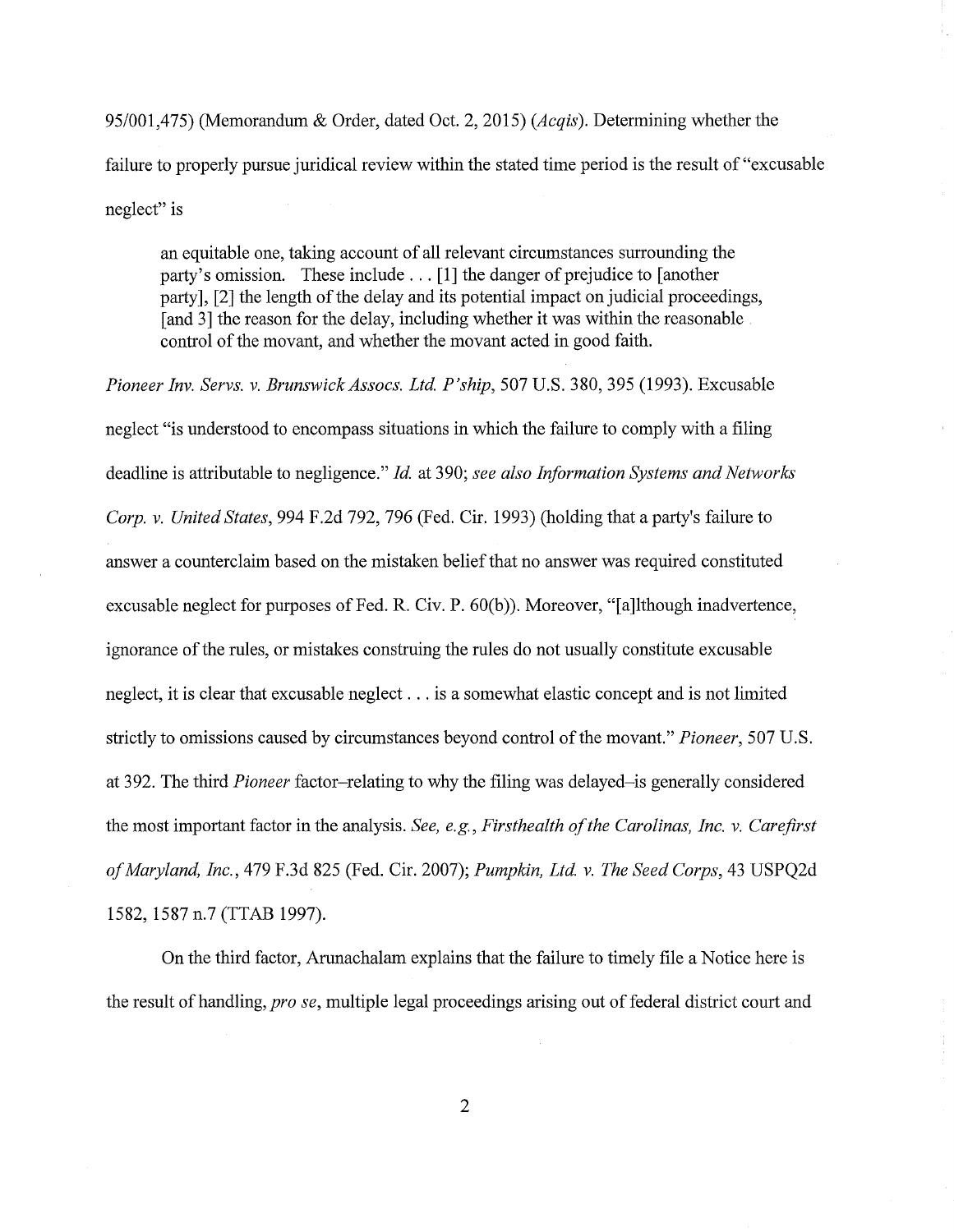95/001,475) (Memorandum & Order, dated Oct. 2, 2015) *(Acqis).* Determining whether the failure to properly pursue juridical review within the stated time period is the result of "excusable neglect" is

an equitable one, taking account of all relevant circumstances surrounding the party's omission. These include ... [1] the danger of prejudice to [another party], [2] the length of the delay and its potential impact on judicial proceedings, [and 3] the reason for the delay, including whether it was within the reasonable. control of the movant, and whether the movant acted in good faith.

*Pioneer Inv. Servs. v. BrunswickAssocs. Ltd. P'ship,* 507 U.S. 380, 395 (1993). Excusable neglect "is understood to encompass situations in which the failure to comply with a filing deadline is attributable to negligence." *Id.* at 390; *see also Information Systems and Networks Corp. v. United States,* 994 F.2d 792, 796 (Fed. Cir. 1993) (holding that a party's failure to answer a counterclaim based on the mistaken belief that no answer was required constituted excusable neglect for purposes of Fed. R. Civ. P. 60(b)). Moreover, "[a]lthough inadvertence, ignorance of the rules, or mistakes construing the rules do not usually constitute excusable neglect, it is clear that excusable neglect ... is a somewhat elastic concept and is not limited strictly to omissions caused by circumstances beyond control of the movant." *Pioneer,* 507 U.S. at 392. The third *Pioneer* factor-relating to why the filing was delayed-is generally considered the most important factor in the analysis. *See, e.g., Firsthealth of the Carolinas, Inc. v. Carefirst of Maryland, Inc.,* 479 F.3d 825 (Fed. Cir. 2007); *Pumpkin, Ltd. v. The Seed Corps,* 43 USPQ2d 1582, 1587 n.7 (TTAB 1997).

On the third factor, Arunachalam explains that the failure to timely file a Notice here is the result of handling, *prose,* multiple legal proceedings arising out of federal district court and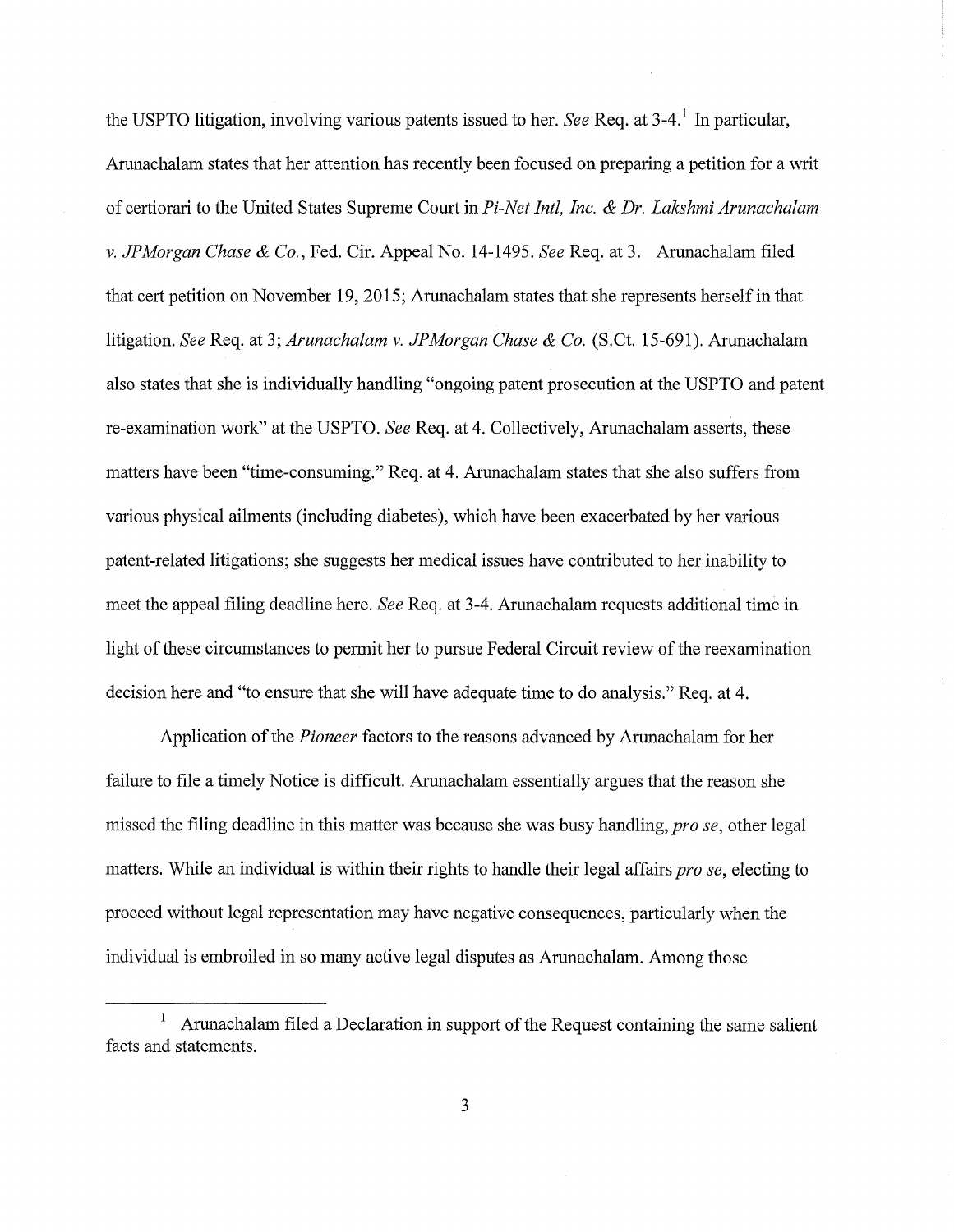the USPTO litigation, involving various patents issued to her. *See* Req. at 3-4. 1 In particular, Arunachalam states that her attention has recently been focused on preparing a petition for a writ of certiorari to the United States Supreme Court in *Pi-Net Intl, Inc.* & *Dr. Lakshmi Arunachalam v. JPMorgan Chase* & *Co.,* Fed. Cir. Appeal No. 14-1495. *See* Req. at 3. Arunachalam filed that cert petition on November 19, 2015; Arunachalam states that she represents herself in that litigation. *See* Req. at 3; *Arunachalam v. JPMorgan Chase* & *Co.* (S.Ct. 15-691). Arunachalam also states that she is individually handling "ongoing patent prosecution at the USPTO and patent re-examination work" at the USPTO. *See* Req. at 4. Collectively, Arunachalam asserts, these matters have been "time-consuming." Req. at 4. Arunachalam states that she also suffers from various physical ailments (including diabetes), which have been exacerbated by her various patent-related litigations; she suggests her medical issues have contributed to her inability to meet the appeal filing deadline here. *See* Req. at 3-4. Arunachalam requests additional time in light of these circumstances to permit her to pursue Federal Circuit review of the reexamination decision here and "to ensure that she will have adequate time to do analysis." Req. at 4.

Application of the *Pioneer* factors to the reasons advanced by Arunachalam for her failure to file a timely Notice is difficult. Arunachalam essentially argues that the reason she missed the filing deadline in this matter was because she was busy handling, *pro se*, other legal matters. While an individual is within their rights to handle their legal affairs *pro se,* electing to proceed without legal representation may have negative consequences, particularly when the individual is embroiled in so many active legal disputes as Arunachalam. Among those

<sup>1</sup>Arunachalam filed a Declaration in support of the Request containing the same salient facts and statements.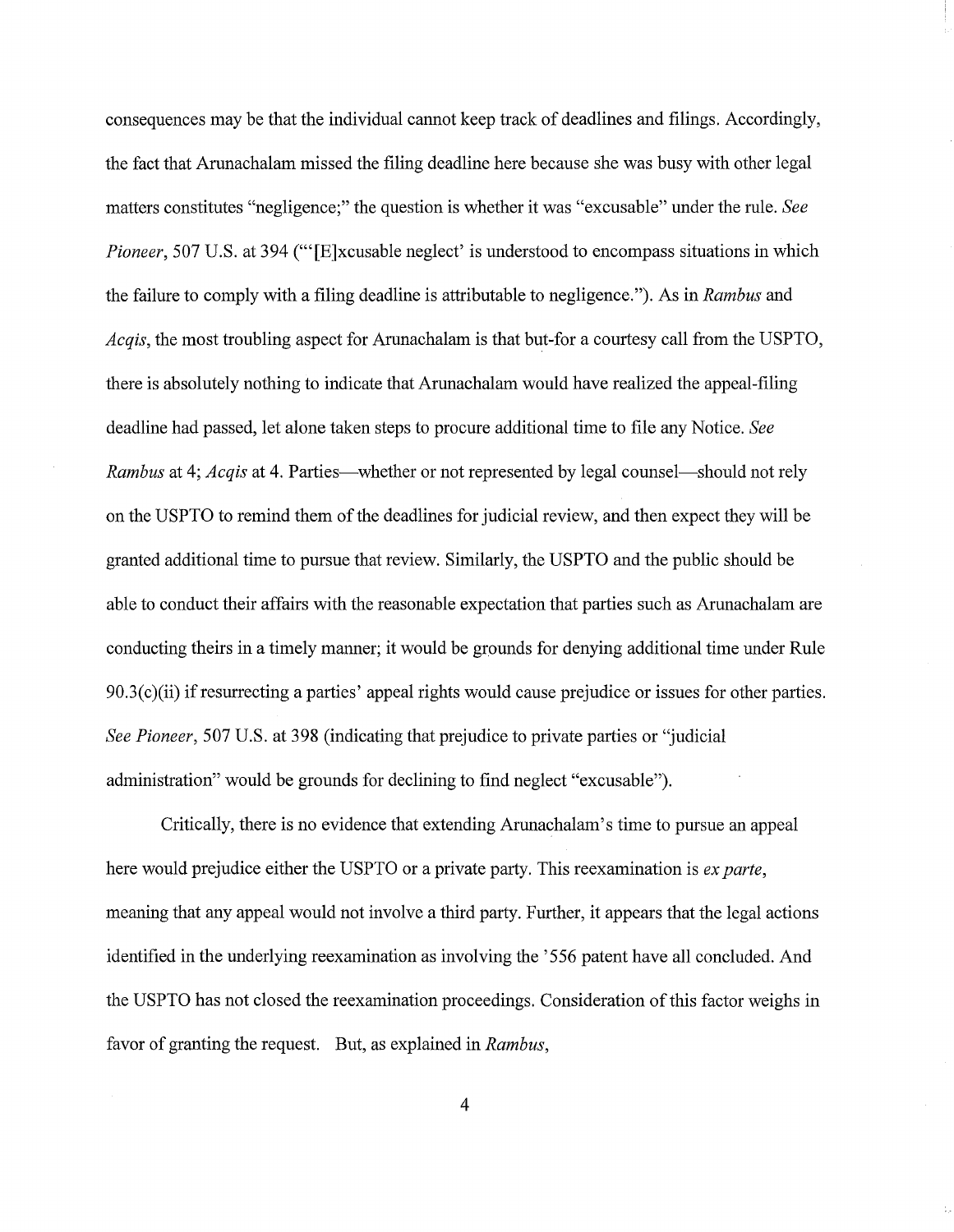consequences may be that the individual cannot keep track of deadlines and filings. Accordingly, the fact that Arunachalam missed the filing deadline here because she was busy with other legal matters constitutes "negligence;" the question is whether it was "excusable" under the rule. *See Pioneer,* 507 U.S. at 394 ("'[E]xcusable neglect' is understood to encompass situations in which the failure to comply with a filing deadline is attributable to negligence."). As in *Rambus* and *Acqis,* the most troubling aspect for Arunachalam is that but-for a courtesy call from the USPTO, there is absolutely nothing to indicate that Arunachalam would have realized the appeal-filing deadline had passed, let alone taken steps to procure additional time to file any Notice. *See Rambus* at 4; *Acqis* at 4. Parties—whether or not represented by legal counsel—should not rely on the USPTO to remind them of the deadlines for judicial review, and then expect they will be granted additional time to pursue that review. Similarly, the USPTO and the public should be able to conduct their affairs with the reasonable expectation that parties such as Arunachalam are conducting theirs in a timely manner; it would be grounds for denying additional time under Rule  $90.3(c)$ (ii) if resurrecting a parties' appeal rights would cause prejudice or issues for other parties. *See Pioneer,* 507 U.S. at 398 (indicating that prejudice to private parties or "judicial administration" would be grounds for declining to find neglect "excusable").

Critically, there is no evidence that extending Arunachalam's time to pursue an appeal here would prejudice either the USPTO or a private party. This reexamination is *ex parte,*  meaning that any appeal would not involve a third party. Further, it appears that the legal actions identified in the underlying reexamination as involving the '556 patent have all concluded. And the USPTO has not closed the reexamination proceedings. Consideration of this factor weighs in favor of granting the request. But, as explained in *Rambus,* 

4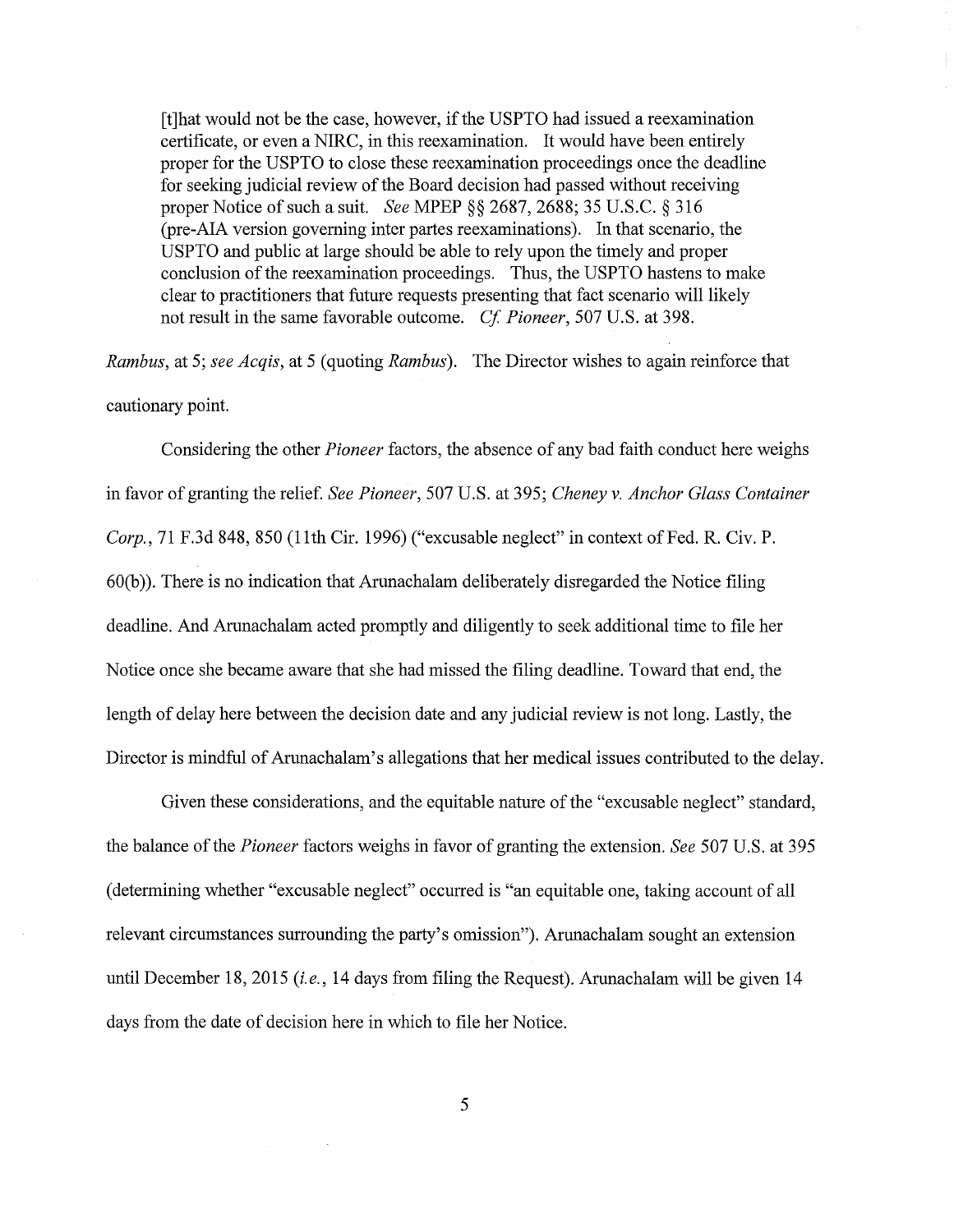[t]hat would not be the case, however, ifthe USPTO had issued a reexamination certificate, or even a NIRC, in this reexamination. It would have been entirely proper for the USPTO to close these reexamination proceedings once the deadline for seeking judicial review of the Board decision had passed without receiving proper Notice of such a suit. *See* MPEP §§ 2687, 2688; 35 U.S.C. § 316 (pre-AIA version governing inter partes reexaminations). In that scenario, the USPTO and public at large should be able to rely upon the timely and proper conclusion of the reexamination proceedings. Thus, the USPTO hastens to make clear to practitioners that future requests presenting that fact scenario will likely not result in the same favorable outcome. *Cf Pioneer,* 507 U.S. at 398.

*Rambus,* at 5; *see Acqis,* at 5 (quoting *Rambus).* The Director wishes to again reinforce that cautionary point.

Considering the other *Pioneer* factors, the absence of any bad faith conduct here weighs in favor of granting the relief. *See Pioneer,* 507 U.S. at 395; *Cheney v. Anchor Glass Container Corp., 71 F.3d 848, 850 (11th Cir. 1996) ("excusable neglect" in context of Fed. R. Civ. P.* 60(b)). There is no indication that Arunachalam deliberately disregarded the Notice filing deadline. And Arunachalam acted promptly and diligently to seek additional time to file her Notice once she became aware that she had missed the filing deadline. Toward that end, the length of delay here between the decision date and any judicial review is not long. Lastly, the Director is mindful of Arunachalam's allegations that her medical issues contributed to the delay.

Given these considerations, and the equitable nature of the "excusable neglect" standard, the balance of the *Pioneer* factors weighs in favor of granting the extension. *See* 507 U.S. at 395 (determining whether "excusable neglect" occurred is "an equitable one, taking account of all relevant circumstances surrounding the party's omission"). Arunachalam sought an extension until December 18, 2015 *(i.e.,* 14 days from filing the Request). Arunachalam will be given 14 days from the date of decision here in which to file her Notice.